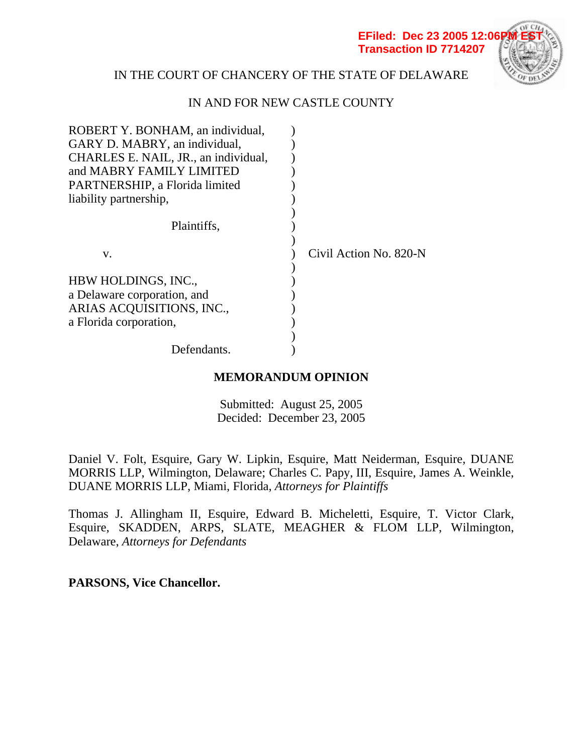**EFiled: Dec 23 2005 12:06 Transaction ID 7714207**



# IN THE COURT OF CHANCERY OF THE STATE OF DELAWARE

# IN AND FOR NEW CASTLE COUNTY

| ROBERT Y. BONHAM, an individual,     |                        |
|--------------------------------------|------------------------|
| GARY D. MABRY, an individual,        |                        |
| CHARLES E. NAIL, JR., an individual, |                        |
| and MABRY FAMILY LIMITED             |                        |
| PARTNERSHIP, a Florida limited       |                        |
| liability partnership,               |                        |
|                                      |                        |
| Plaintiffs,                          |                        |
|                                      |                        |
| V.                                   | Civil Action No. 820-N |
|                                      |                        |
| HBW HOLDINGS, INC.,                  |                        |
| a Delaware corporation, and          |                        |
| ARIAS ACQUISITIONS, INC.,            |                        |
| a Florida corporation,               |                        |
|                                      |                        |
| Defendants.                          |                        |

# **MEMORANDUM OPINION**

Submitted: August 25, 2005 Decided: December 23, 2005

Daniel V. Folt, Esquire, Gary W. Lipkin, Esquire, Matt Neiderman, Esquire, DUANE MORRIS LLP, Wilmington, Delaware; Charles C. Papy, III, Esquire, James A. Weinkle, DUANE MORRIS LLP, Miami, Florida, *Attorneys for Plaintiffs* 

Thomas J. Allingham II, Esquire, Edward B. Micheletti, Esquire, T. Victor Clark, Esquire, SKADDEN, ARPS, SLATE, MEAGHER & FLOM LLP, Wilmington, Delaware, *Attorneys for Defendants*

**PARSONS, Vice Chancellor.**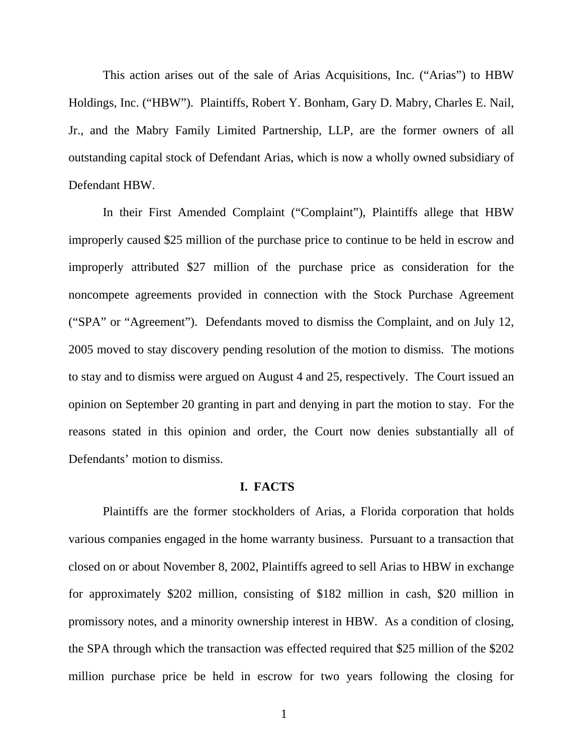This action arises out of the sale of Arias Acquisitions, Inc. ("Arias") to HBW Holdings, Inc. ("HBW"). Plaintiffs, Robert Y. Bonham, Gary D. Mabry, Charles E. Nail, Jr., and the Mabry Family Limited Partnership, LLP, are the former owners of all outstanding capital stock of Defendant Arias, which is now a wholly owned subsidiary of Defendant HBW.

In their First Amended Complaint ("Complaint"), Plaintiffs allege that HBW improperly caused \$25 million of the purchase price to continue to be held in escrow and improperly attributed \$27 million of the purchase price as consideration for the noncompete agreements provided in connection with the Stock Purchase Agreement ("SPA" or "Agreement"). Defendants moved to dismiss the Complaint, and on July 12, 2005 moved to stay discovery pending resolution of the motion to dismiss. The motions to stay and to dismiss were argued on August 4 and 25, respectively. The Court issued an opinion on September 20 granting in part and denying in part the motion to stay. For the reasons stated in this opinion and order, the Court now denies substantially all of Defendants' motion to dismiss.

### **I. FACTS**

Plaintiffs are the former stockholders of Arias, a Florida corporation that holds various companies engaged in the home warranty business. Pursuant to a transaction that closed on or about November 8, 2002, Plaintiffs agreed to sell Arias to HBW in exchange for approximately \$202 million, consisting of \$182 million in cash, \$20 million in promissory notes, and a minority ownership interest in HBW. As a condition of closing, the SPA through which the transaction was effected required that \$25 million of the \$202 million purchase price be held in escrow for two years following the closing for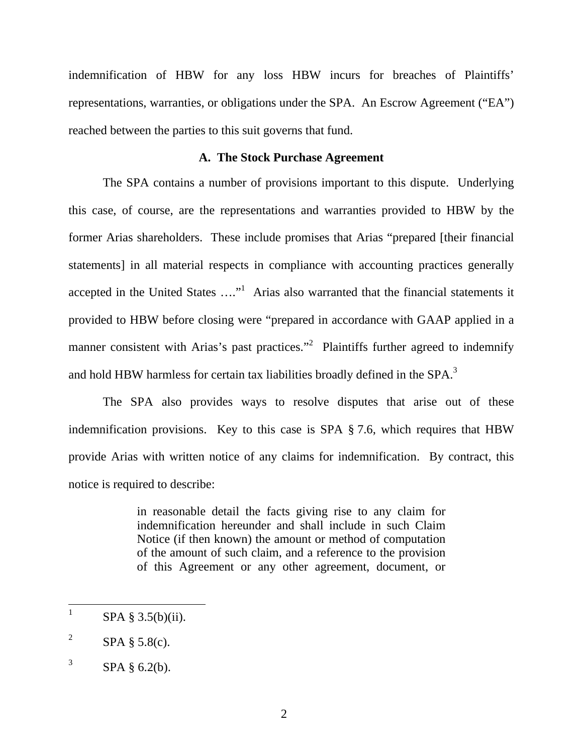indemnification of HBW for any loss HBW incurs for breaches of Plaintiffs' representations, warranties, or obligations under the SPA. An Escrow Agreement ("EA") reached between the parties to this suit governs that fund.

## **A. The Stock Purchase Agreement**

The SPA contains a number of provisions important to this dispute. Underlying this case, of course, are the representations and warranties provided to HBW by the former Arias shareholders. These include promises that Arias "prepared [their financial statements] in all material respects in compliance with accounting practices generally accepted in the United States  $\dots$ <sup>1</sup> Arias also warranted that the financial statements it provided to HBW before closing were "prepared in accordance with GAAP applied in a manner consistent with Arias's past practices."<sup>2</sup> Plaintiffs further agreed to indemnify and hold HBW harmless for certain tax liabilities broadly defined in the SPA.<sup>3</sup>

The SPA also provides ways to resolve disputes that arise out of these indemnification provisions. Key to this case is SPA § 7.6, which requires that HBW provide Arias with written notice of any claims for indemnification. By contract, this notice is required to describe:

> in reasonable detail the facts giving rise to any claim for indemnification hereunder and shall include in such Claim Notice (if then known) the amount or method of computation of the amount of such claim, and a reference to the provision of this Agreement or any other agreement, document, or

 $\frac{1}{1}$  $SPA \$  3.5(b)(ii).

<sup>2</sup>  $SPA \$ § 5.8(c).

<sup>3</sup> SPA § 6.2(b).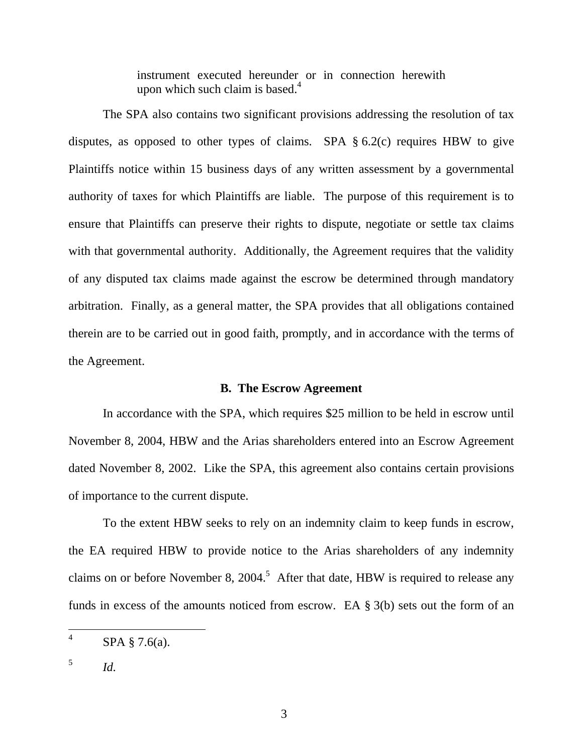instrument executed hereunder or in connection herewith upon which such claim is based. $4$ 

The SPA also contains two significant provisions addressing the resolution of tax disputes, as opposed to other types of claims. SPA  $\S 6.2(c)$  requires HBW to give Plaintiffs notice within 15 business days of any written assessment by a governmental authority of taxes for which Plaintiffs are liable. The purpose of this requirement is to ensure that Plaintiffs can preserve their rights to dispute, negotiate or settle tax claims with that governmental authority. Additionally, the Agreement requires that the validity of any disputed tax claims made against the escrow be determined through mandatory arbitration. Finally, as a general matter, the SPA provides that all obligations contained therein are to be carried out in good faith, promptly, and in accordance with the terms of the Agreement.

## **B. The Escrow Agreement**

In accordance with the SPA, which requires \$25 million to be held in escrow until November 8, 2004, HBW and the Arias shareholders entered into an Escrow Agreement dated November 8, 2002. Like the SPA, this agreement also contains certain provisions of importance to the current dispute.

To the extent HBW seeks to rely on an indemnity claim to keep funds in escrow, the EA required HBW to provide notice to the Arias shareholders of any indemnity claims on or before November 8, 2004.<sup>5</sup> After that date, HBW is required to release any funds in excess of the amounts noticed from escrow. EA § 3(b) sets out the form of an

 $\frac{1}{4}$ SPA § 7.6(a).

 $\frac{5}{10}$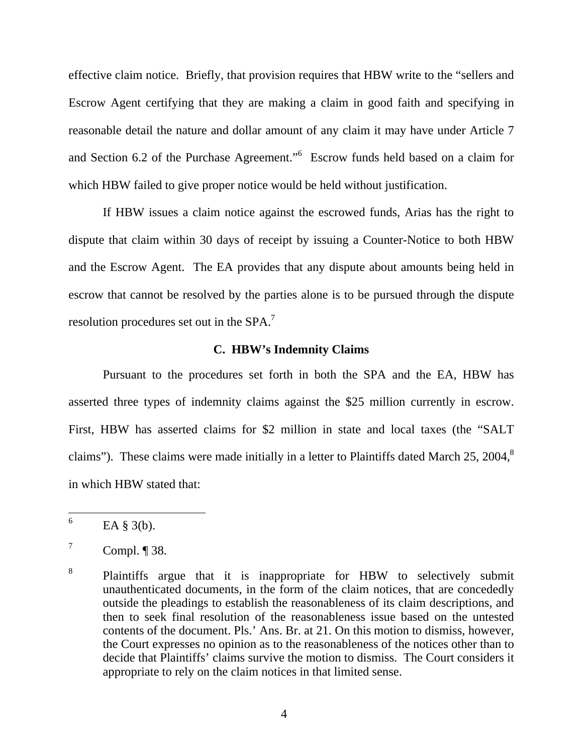effective claim notice. Briefly, that provision requires that HBW write to the "sellers and Escrow Agent certifying that they are making a claim in good faith and specifying in reasonable detail the nature and dollar amount of any claim it may have under Article 7 and Section 6.2 of the Purchase Agreement."6 Escrow funds held based on a claim for which HBW failed to give proper notice would be held without justification.

If HBW issues a claim notice against the escrowed funds, Arias has the right to dispute that claim within 30 days of receipt by issuing a Counter-Notice to both HBW and the Escrow Agent. The EA provides that any dispute about amounts being held in escrow that cannot be resolved by the parties alone is to be pursued through the dispute resolution procedures set out in the SPA.<sup>7</sup>

#### **C. HBW's Indemnity Claims**

Pursuant to the procedures set forth in both the SPA and the EA, HBW has asserted three types of indemnity claims against the \$25 million currently in escrow. First, HBW has asserted claims for \$2 million in state and local taxes (the "SALT claims"). These claims were made initially in a letter to Plaintiffs dated March 25, 2004, $8$ in which HBW stated that:

 $\frac{1}{6}$ EA § 3(b).

<sup>7</sup> Compl. ¶ 38.

<sup>8</sup> Plaintiffs argue that it is inappropriate for HBW to selectively submit unauthenticated documents, in the form of the claim notices, that are concededly outside the pleadings to establish the reasonableness of its claim descriptions, and then to seek final resolution of the reasonableness issue based on the untested contents of the document. Pls.' Ans. Br. at 21. On this motion to dismiss, however, the Court expresses no opinion as to the reasonableness of the notices other than to decide that Plaintiffs' claims survive the motion to dismiss. The Court considers it appropriate to rely on the claim notices in that limited sense.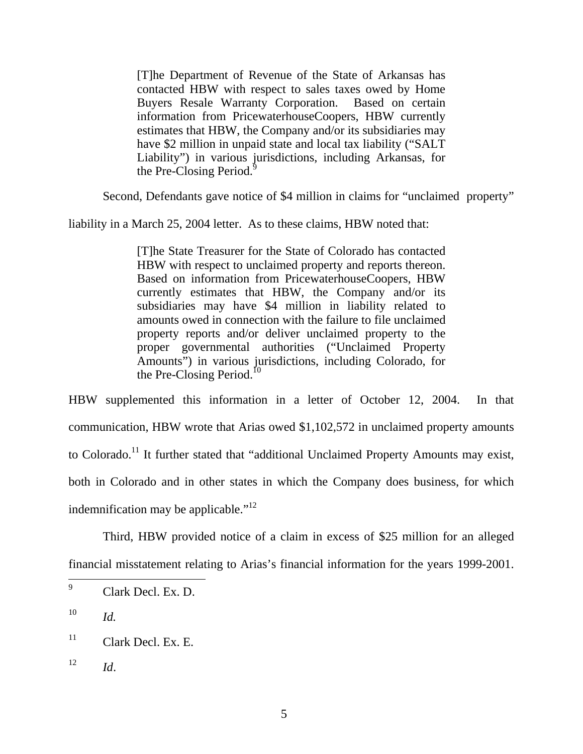[T]he Department of Revenue of the State of Arkansas has contacted HBW with respect to sales taxes owed by Home Buyers Resale Warranty Corporation. Based on certain information from PricewaterhouseCoopers, HBW currently estimates that HBW, the Company and/or its subsidiaries may have \$2 million in unpaid state and local tax liability ("SALT Liability") in various jurisdictions, including Arkansas, for the Pre-Closing Period.<sup>9</sup>

Second, Defendants gave notice of \$4 million in claims for "unclaimed property"

liability in a March 25, 2004 letter. As to these claims, HBW noted that:

[T]he State Treasurer for the State of Colorado has contacted HBW with respect to unclaimed property and reports thereon. Based on information from PricewaterhouseCoopers, HBW currently estimates that HBW, the Company and/or its subsidiaries may have \$4 million in liability related to amounts owed in connection with the failure to file unclaimed property reports and/or deliver unclaimed property to the proper governmental authorities ("Unclaimed Property Amounts") in various jurisdictions, including Colorado, for the Pre-Closing Period. $^{10}$ 

HBW supplemented this information in a letter of October 12, 2004. In that communication, HBW wrote that Arias owed \$1,102,572 in unclaimed property amounts to Colorado.<sup>11</sup> It further stated that "additional Unclaimed Property Amounts may exist, both in Colorado and in other states in which the Company does business, for which indemnification may be applicable." $12$ 

Third, HBW provided notice of a claim in excess of \$25 million for an alleged financial misstatement relating to Arias's financial information for the years 1999-2001.

<sup>—&</sup>lt;br>9 Clark Decl. Ex. D.

 $10$  *Id.* 

 $11$  Clark Decl. Ex. E.

 $12$  *Id.*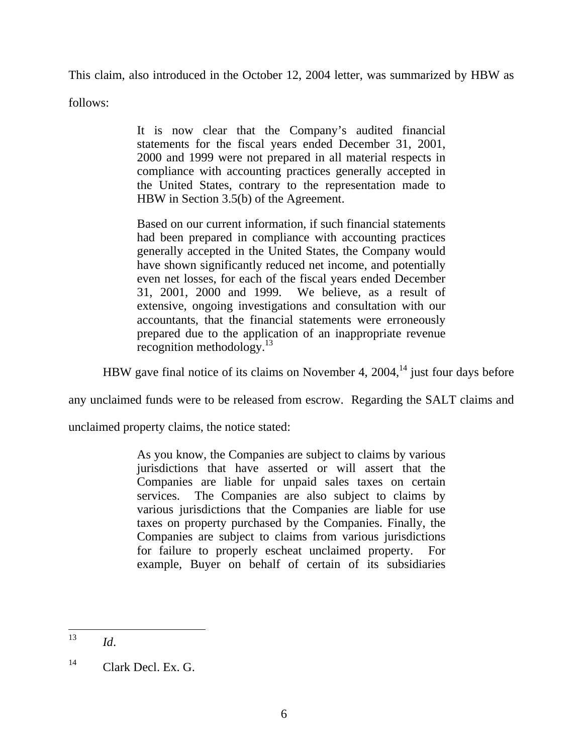This claim, also introduced in the October 12, 2004 letter, was summarized by HBW as

follows:

It is now clear that the Company's audited financial statements for the fiscal years ended December 31, 2001, 2000 and 1999 were not prepared in all material respects in compliance with accounting practices generally accepted in the United States, contrary to the representation made to HBW in Section 3.5(b) of the Agreement.

Based on our current information, if such financial statements had been prepared in compliance with accounting practices generally accepted in the United States, the Company would have shown significantly reduced net income, and potentially even net losses, for each of the fiscal years ended December 31, 2001, 2000 and 1999. We believe, as a result of extensive, ongoing investigations and consultation with our accountants, that the financial statements were erroneously prepared due to the application of an inappropriate revenue recognition methodology. $13$ 

HBW gave final notice of its claims on November 4,  $2004$ ,<sup>14</sup> just four days before

any unclaimed funds were to be released from escrow. Regarding the SALT claims and

unclaimed property claims, the notice stated:

As you know, the Companies are subject to claims by various jurisdictions that have asserted or will assert that the Companies are liable for unpaid sales taxes on certain services. The Companies are also subject to claims by various jurisdictions that the Companies are liable for use taxes on property purchased by the Companies. Finally, the Companies are subject to claims from various jurisdictions for failure to properly escheat unclaimed property. For example, Buyer on behalf of certain of its subsidiaries

<sup>13</sup> <sup>13</sup> *Id*.

 $^{14}$  Clark Decl. Ex. G.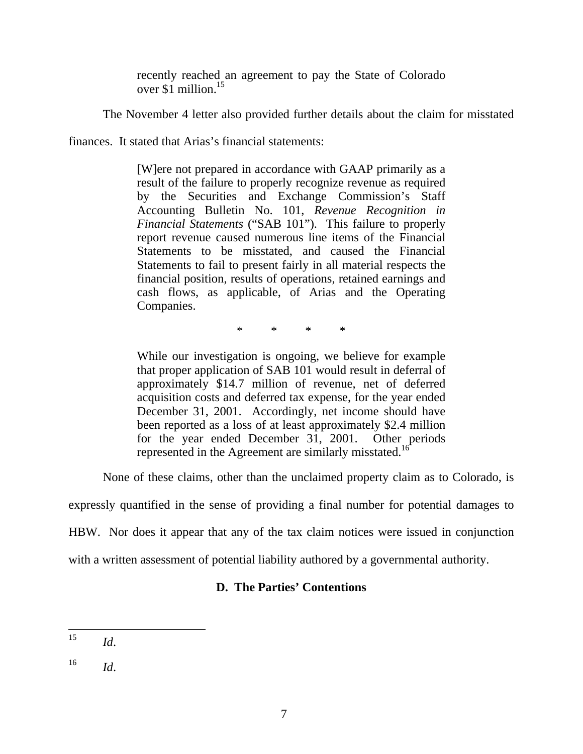recently reached an agreement to pay the State of Colorado over \$1 million.15

The November 4 letter also provided further details about the claim for misstated

finances. It stated that Arias's financial statements:

[W]ere not prepared in accordance with GAAP primarily as a result of the failure to properly recognize revenue as required by the Securities and Exchange Commission's Staff Accounting Bulletin No. 101, *Revenue Recognition in Financial Statements* ("SAB 101"). This failure to properly report revenue caused numerous line items of the Financial Statements to be misstated, and caused the Financial Statements to fail to present fairly in all material respects the financial position, results of operations, retained earnings and cash flows, as applicable, of Arias and the Operating Companies.

\* \* \* \*

While our investigation is ongoing, we believe for example that proper application of SAB 101 would result in deferral of approximately \$14.7 million of revenue, net of deferred acquisition costs and deferred tax expense, for the year ended December 31, 2001. Accordingly, net income should have been reported as a loss of at least approximately \$2.4 million for the year ended December 31, 2001. Other periods represented in the Agreement are similarly misstated.<sup>16</sup>

None of these claims, other than the unclaimed property claim as to Colorado, is

expressly quantified in the sense of providing a final number for potential damages to

HBW. Nor does it appear that any of the tax claim notices were issued in conjunction

with a written assessment of potential liability authored by a governmental authority.

# **D. The Parties' Contentions**

<sup>15</sup> *Id.* 

 $^{16}$  *Id.*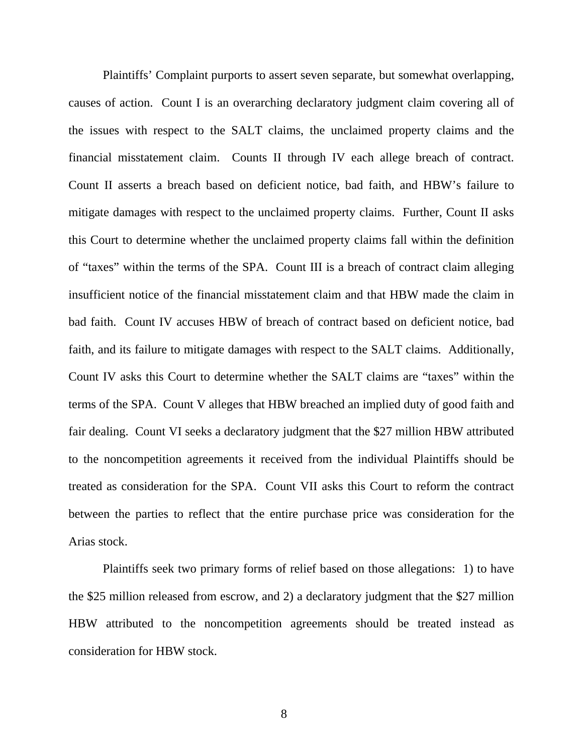Plaintiffs' Complaint purports to assert seven separate, but somewhat overlapping, causes of action. Count I is an overarching declaratory judgment claim covering all of the issues with respect to the SALT claims, the unclaimed property claims and the financial misstatement claim. Counts II through IV each allege breach of contract. Count II asserts a breach based on deficient notice, bad faith, and HBW's failure to mitigate damages with respect to the unclaimed property claims. Further, Count II asks this Court to determine whether the unclaimed property claims fall within the definition of "taxes" within the terms of the SPA. Count III is a breach of contract claim alleging insufficient notice of the financial misstatement claim and that HBW made the claim in bad faith. Count IV accuses HBW of breach of contract based on deficient notice, bad faith, and its failure to mitigate damages with respect to the SALT claims. Additionally, Count IV asks this Court to determine whether the SALT claims are "taxes" within the terms of the SPA. Count V alleges that HBW breached an implied duty of good faith and fair dealing. Count VI seeks a declaratory judgment that the \$27 million HBW attributed to the noncompetition agreements it received from the individual Plaintiffs should be treated as consideration for the SPA. Count VII asks this Court to reform the contract between the parties to reflect that the entire purchase price was consideration for the Arias stock.

Plaintiffs seek two primary forms of relief based on those allegations: 1) to have the \$25 million released from escrow, and 2) a declaratory judgment that the \$27 million HBW attributed to the noncompetition agreements should be treated instead as consideration for HBW stock.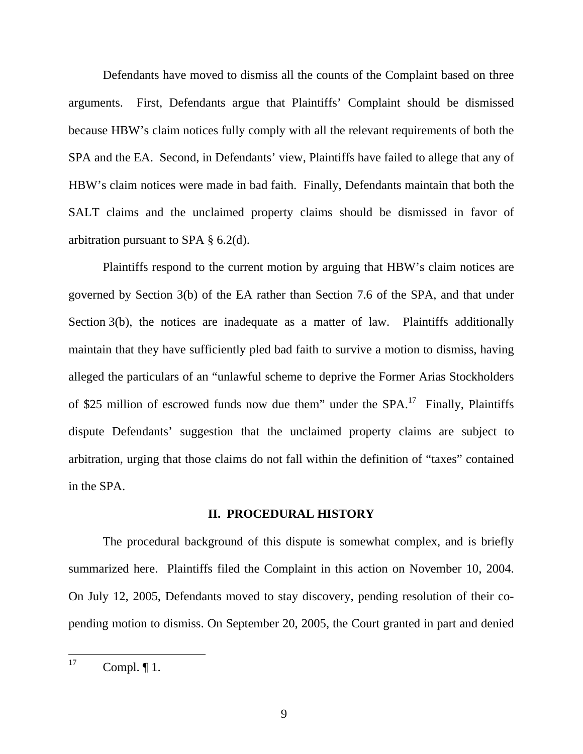Defendants have moved to dismiss all the counts of the Complaint based on three arguments. First, Defendants argue that Plaintiffs' Complaint should be dismissed because HBW's claim notices fully comply with all the relevant requirements of both the SPA and the EA. Second, in Defendants' view, Plaintiffs have failed to allege that any of HBW's claim notices were made in bad faith. Finally, Defendants maintain that both the SALT claims and the unclaimed property claims should be dismissed in favor of arbitration pursuant to SPA § 6.2(d).

 Plaintiffs respond to the current motion by arguing that HBW's claim notices are governed by Section 3(b) of the EA rather than Section 7.6 of the SPA, and that under Section 3(b), the notices are inadequate as a matter of law. Plaintiffs additionally maintain that they have sufficiently pled bad faith to survive a motion to dismiss, having alleged the particulars of an "unlawful scheme to deprive the Former Arias Stockholders of \$25 million of escrowed funds now due them" under the  $SPA$ <sup>17</sup>. Finally, Plaintiffs dispute Defendants' suggestion that the unclaimed property claims are subject to arbitration, urging that those claims do not fall within the definition of "taxes" contained in the SPA.

#### **II. PROCEDURAL HISTORY**

The procedural background of this dispute is somewhat complex, and is briefly summarized here. Plaintiffs filed the Complaint in this action on November 10, 2004. On July 12, 2005, Defendants moved to stay discovery, pending resolution of their copending motion to dismiss. On September 20, 2005, the Court granted in part and denied

 $17$ Compl.  $\P$ 1.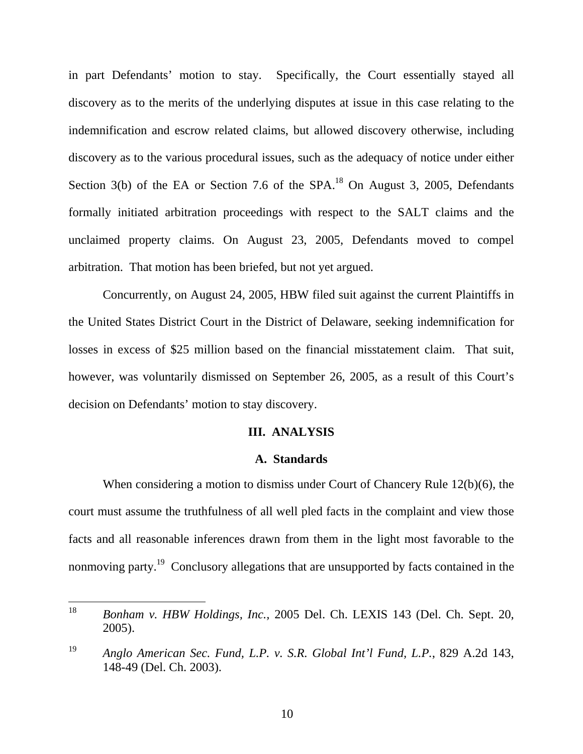in part Defendants' motion to stay. Specifically, the Court essentially stayed all discovery as to the merits of the underlying disputes at issue in this case relating to the indemnification and escrow related claims, but allowed discovery otherwise, including discovery as to the various procedural issues, such as the adequacy of notice under either Section 3(b) of the EA or Section 7.6 of the SPA.<sup>18</sup> On August 3, 2005, Defendants formally initiated arbitration proceedings with respect to the SALT claims and the unclaimed property claims. On August 23, 2005, Defendants moved to compel arbitration. That motion has been briefed, but not yet argued.

Concurrently, on August 24, 2005, HBW filed suit against the current Plaintiffs in the United States District Court in the District of Delaware, seeking indemnification for losses in excess of \$25 million based on the financial misstatement claim. That suit, however, was voluntarily dismissed on September 26, 2005, as a result of this Court's decision on Defendants' motion to stay discovery.

## **III. ANALYSIS**

#### **A. Standards**

When considering a motion to dismiss under Court of Chancery Rule 12(b)(6), the court must assume the truthfulness of all well pled facts in the complaint and view those facts and all reasonable inferences drawn from them in the light most favorable to the nonmoving party.<sup>19</sup> Conclusory allegations that are unsupported by facts contained in the

<sup>18</sup> 18 *Bonham v. HBW Holdings, Inc.,* 2005 Del. Ch. LEXIS 143 (Del. Ch. Sept. 20, 2005).

<sup>19</sup> *Anglo American Sec. Fund, L.P. v. S.R. Global Int'l Fund, L.P.*, 829 A.2d 143, 148-49 (Del. Ch. 2003).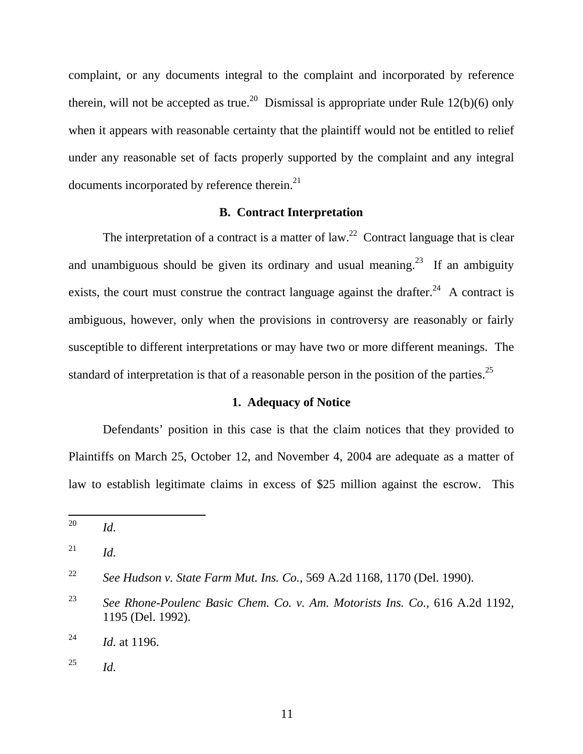complaint, or any documents integral to the complaint and incorporated by reference therein, will not be accepted as true.<sup>20</sup> Dismissal is appropriate under Rule 12(b)(6) only when it appears with reasonable certainty that the plaintiff would not be entitled to relief under any reasonable set of facts properly supported by the complaint and any integral documents incorporated by reference therein.<sup>21</sup>

#### **B. Contract Interpretation**

The interpretation of a contract is a matter of  $law<sup>22</sup>$  Contract language that is clear and unambiguous should be given its ordinary and usual meaning.<sup>23</sup> If an ambiguity exists, the court must construe the contract language against the drafter.<sup>24</sup> A contract is ambiguous, however, only when the provisions in controversy are reasonably or fairly susceptible to different interpretations or may have two or more different meanings. The standard of interpretation is that of a reasonable person in the position of the parties.<sup>25</sup>

#### **1. Adequacy of Notice**

Defendants' position in this case is that the claim notices that they provided to Plaintiffs on March 25, October 12, and November 4, 2004 are adequate as a matter of law to establish legitimate claims in excess of \$25 million against the escrow. This

<sup>20</sup> *Id.* 

 $^{21}$  *Id.* 

<sup>22</sup> *See Hudson v. State Farm Mut. Ins. Co.,* 569 A.2d 1168, 1170 (Del. 1990).

<sup>23</sup> *See Rhone-Poulenc Basic Chem. Co. v. Am. Motorists Ins. Co.,* 616 A.2d 1192, 1195 (Del. 1992).

<sup>24</sup> *Id.* at 1196.

 $^{25}$  *Id.*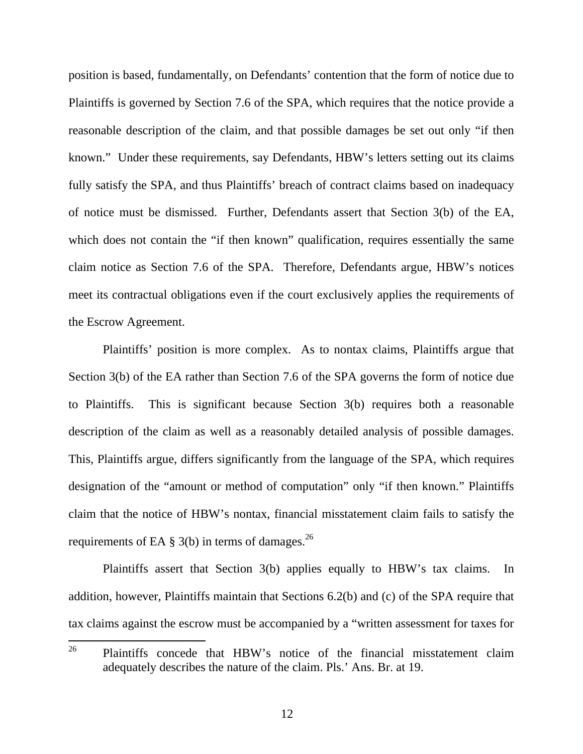position is based, fundamentally, on Defendants' contention that the form of notice due to Plaintiffs is governed by Section 7.6 of the SPA, which requires that the notice provide a reasonable description of the claim, and that possible damages be set out only "if then known." Under these requirements, say Defendants, HBW's letters setting out its claims fully satisfy the SPA, and thus Plaintiffs' breach of contract claims based on inadequacy of notice must be dismissed. Further, Defendants assert that Section 3(b) of the EA, which does not contain the "if then known" qualification, requires essentially the same claim notice as Section 7.6 of the SPA. Therefore, Defendants argue, HBW's notices meet its contractual obligations even if the court exclusively applies the requirements of the Escrow Agreement.

Plaintiffs' position is more complex. As to nontax claims, Plaintiffs argue that Section 3(b) of the EA rather than Section 7.6 of the SPA governs the form of notice due to Plaintiffs. This is significant because Section 3(b) requires both a reasonable description of the claim as well as a reasonably detailed analysis of possible damages. This, Plaintiffs argue, differs significantly from the language of the SPA, which requires designation of the "amount or method of computation" only "if then known." Plaintiffs claim that the notice of HBW's nontax, financial misstatement claim fails to satisfy the requirements of EA  $\S$  3(b) in terms of damages.<sup>26</sup>

Plaintiffs assert that Section 3(b) applies equally to HBW's tax claims. In addition, however, Plaintiffs maintain that Sections 6.2(b) and (c) of the SPA require that tax claims against the escrow must be accompanied by a "written assessment for taxes for

<sup>26</sup> Plaintiffs concede that HBW's notice of the financial misstatement claim adequately describes the nature of the claim. Pls.' Ans. Br. at 19.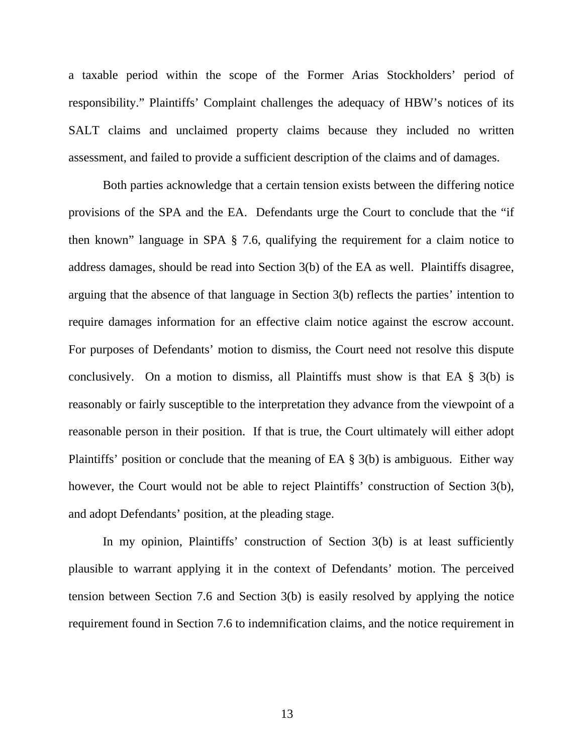a taxable period within the scope of the Former Arias Stockholders' period of responsibility." Plaintiffs' Complaint challenges the adequacy of HBW's notices of its SALT claims and unclaimed property claims because they included no written assessment, and failed to provide a sufficient description of the claims and of damages.

Both parties acknowledge that a certain tension exists between the differing notice provisions of the SPA and the EA. Defendants urge the Court to conclude that the "if then known" language in SPA § 7.6, qualifying the requirement for a claim notice to address damages, should be read into Section 3(b) of the EA as well. Plaintiffs disagree, arguing that the absence of that language in Section 3(b) reflects the parties' intention to require damages information for an effective claim notice against the escrow account. For purposes of Defendants' motion to dismiss, the Court need not resolve this dispute conclusively. On a motion to dismiss, all Plaintiffs must show is that EA § 3(b) is reasonably or fairly susceptible to the interpretation they advance from the viewpoint of a reasonable person in their position. If that is true, the Court ultimately will either adopt Plaintiffs' position or conclude that the meaning of EA § 3(b) is ambiguous. Either way however, the Court would not be able to reject Plaintiffs' construction of Section 3(b), and adopt Defendants' position, at the pleading stage.

In my opinion, Plaintiffs' construction of Section 3(b) is at least sufficiently plausible to warrant applying it in the context of Defendants' motion. The perceived tension between Section 7.6 and Section 3(b) is easily resolved by applying the notice requirement found in Section 7.6 to indemnification claims, and the notice requirement in

13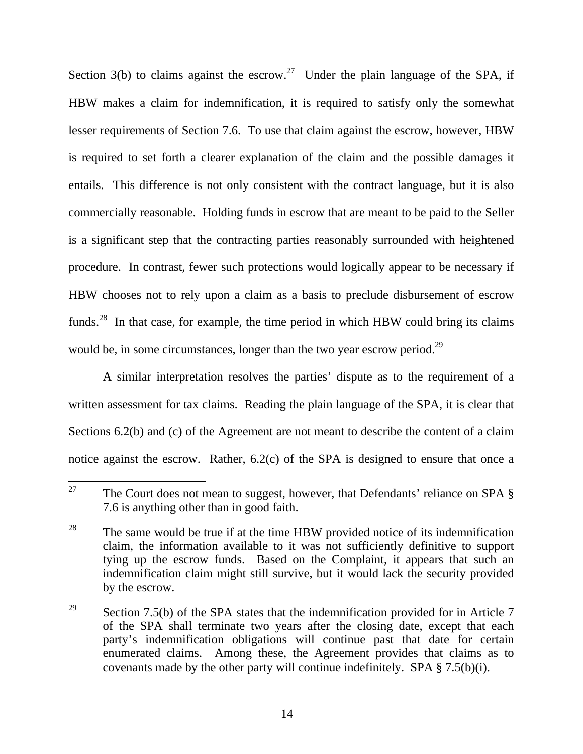Section 3(b) to claims against the escrow.<sup>27</sup> Under the plain language of the SPA, if HBW makes a claim for indemnification, it is required to satisfy only the somewhat lesser requirements of Section 7.6. To use that claim against the escrow, however, HBW is required to set forth a clearer explanation of the claim and the possible damages it entails. This difference is not only consistent with the contract language, but it is also commercially reasonable. Holding funds in escrow that are meant to be paid to the Seller is a significant step that the contracting parties reasonably surrounded with heightened procedure. In contrast, fewer such protections would logically appear to be necessary if HBW chooses not to rely upon a claim as a basis to preclude disbursement of escrow funds.<sup>28</sup> In that case, for example, the time period in which HBW could bring its claims would be, in some circumstances, longer than the two year escrow period.<sup>29</sup>

A similar interpretation resolves the parties' dispute as to the requirement of a written assessment for tax claims. Reading the plain language of the SPA, it is clear that Sections 6.2(b) and (c) of the Agreement are not meant to describe the content of a claim notice against the escrow. Rather, 6.2(c) of the SPA is designed to ensure that once a

<sup>27</sup> The Court does not mean to suggest, however, that Defendants' reliance on SPA  $\S$ 7.6 is anything other than in good faith.

<sup>&</sup>lt;sup>28</sup> The same would be true if at the time HBW provided notice of its indemnification claim, the information available to it was not sufficiently definitive to support tying up the escrow funds. Based on the Complaint, it appears that such an indemnification claim might still survive, but it would lack the security provided by the escrow.

<sup>&</sup>lt;sup>29</sup> Section 7.5(b) of the SPA states that the indemnification provided for in Article 7 of the SPA shall terminate two years after the closing date, except that each party's indemnification obligations will continue past that date for certain enumerated claims. Among these, the Agreement provides that claims as to covenants made by the other party will continue indefinitely. SPA  $\S 7.5(b)(i)$ .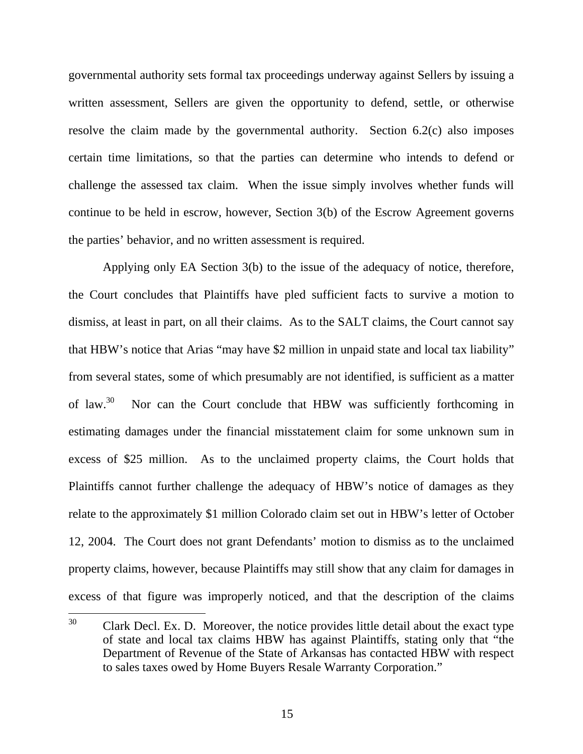governmental authority sets formal tax proceedings underway against Sellers by issuing a written assessment, Sellers are given the opportunity to defend, settle, or otherwise resolve the claim made by the governmental authority. Section 6.2(c) also imposes certain time limitations, so that the parties can determine who intends to defend or challenge the assessed tax claim. When the issue simply involves whether funds will continue to be held in escrow, however, Section 3(b) of the Escrow Agreement governs the parties' behavior, and no written assessment is required.

 Applying only EA Section 3(b) to the issue of the adequacy of notice, therefore, the Court concludes that Plaintiffs have pled sufficient facts to survive a motion to dismiss, at least in part, on all their claims. As to the SALT claims, the Court cannot say that HBW's notice that Arias "may have \$2 million in unpaid state and local tax liability" from several states, some of which presumably are not identified, is sufficient as a matter of law.<sup>30</sup> Nor can the Court conclude that HBW was sufficiently forthcoming in estimating damages under the financial misstatement claim for some unknown sum in excess of \$25 million. As to the unclaimed property claims, the Court holds that Plaintiffs cannot further challenge the adequacy of HBW's notice of damages as they relate to the approximately \$1 million Colorado claim set out in HBW's letter of October 12, 2004. The Court does not grant Defendants' motion to dismiss as to the unclaimed property claims, however, because Plaintiffs may still show that any claim for damages in excess of that figure was improperly noticed, and that the description of the claims

<sup>30</sup> Clark Decl. Ex. D. Moreover, the notice provides little detail about the exact type of state and local tax claims HBW has against Plaintiffs, stating only that "the Department of Revenue of the State of Arkansas has contacted HBW with respect to sales taxes owed by Home Buyers Resale Warranty Corporation."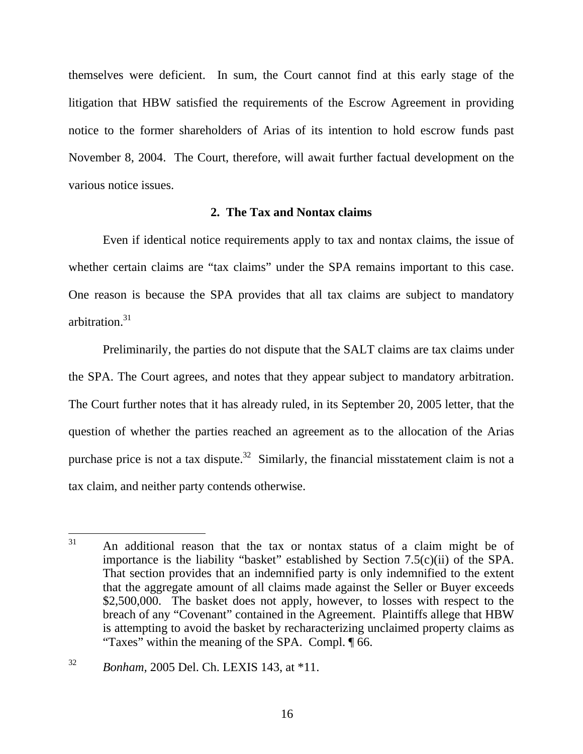themselves were deficient. In sum, the Court cannot find at this early stage of the litigation that HBW satisfied the requirements of the Escrow Agreement in providing notice to the former shareholders of Arias of its intention to hold escrow funds past November 8, 2004. The Court, therefore, will await further factual development on the various notice issues.

## **2. The Tax and Nontax claims**

Even if identical notice requirements apply to tax and nontax claims, the issue of whether certain claims are "tax claims" under the SPA remains important to this case. One reason is because the SPA provides that all tax claims are subject to mandatory arbitration.31

Preliminarily, the parties do not dispute that the SALT claims are tax claims under the SPA. The Court agrees, and notes that they appear subject to mandatory arbitration. The Court further notes that it has already ruled, in its September 20, 2005 letter, that the question of whether the parties reached an agreement as to the allocation of the Arias purchase price is not a tax dispute.<sup>32</sup> Similarly, the financial misstatement claim is not a tax claim, and neither party contends otherwise.

 $31$ An additional reason that the tax or nontax status of a claim might be of importance is the liability "basket" established by Section 7.5(c)(ii) of the SPA. That section provides that an indemnified party is only indemnified to the extent that the aggregate amount of all claims made against the Seller or Buyer exceeds \$2,500,000. The basket does not apply, however, to losses with respect to the breach of any "Covenant" contained in the Agreement. Plaintiffs allege that HBW is attempting to avoid the basket by recharacterizing unclaimed property claims as "Taxes" within the meaning of the SPA. Compl. ¶ 66.

<sup>32</sup> *Bonham,* 2005 Del. Ch. LEXIS 143, at \*11.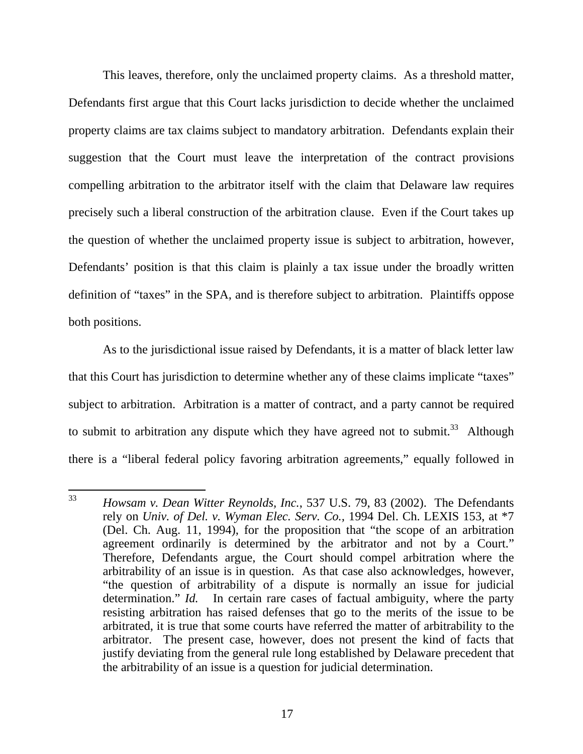This leaves, therefore, only the unclaimed property claims. As a threshold matter, Defendants first argue that this Court lacks jurisdiction to decide whether the unclaimed property claims are tax claims subject to mandatory arbitration. Defendants explain their suggestion that the Court must leave the interpretation of the contract provisions compelling arbitration to the arbitrator itself with the claim that Delaware law requires precisely such a liberal construction of the arbitration clause. Even if the Court takes up the question of whether the unclaimed property issue is subject to arbitration, however, Defendants' position is that this claim is plainly a tax issue under the broadly written definition of "taxes" in the SPA, and is therefore subject to arbitration. Plaintiffs oppose both positions.

 As to the jurisdictional issue raised by Defendants, it is a matter of black letter law that this Court has jurisdiction to determine whether any of these claims implicate "taxes" subject to arbitration. Arbitration is a matter of contract, and a party cannot be required to submit to arbitration any dispute which they have agreed not to submit. $33$  Although there is a "liberal federal policy favoring arbitration agreements," equally followed in

<sup>33</sup> <sup>33</sup> *Howsam v. Dean Witter Reynolds, Inc.*, 537 U.S. 79, 83 (2002). The Defendants rely on *Univ. of Del. v. Wyman Elec. Serv. Co.,* 1994 Del. Ch. LEXIS 153, at \*7 (Del. Ch. Aug. 11, 1994), for the proposition that "the scope of an arbitration agreement ordinarily is determined by the arbitrator and not by a Court." Therefore, Defendants argue, the Court should compel arbitration where the arbitrability of an issue is in question. As that case also acknowledges, however, "the question of arbitrability of a dispute is normally an issue for judicial determination." *Id.* In certain rare cases of factual ambiguity, where the party resisting arbitration has raised defenses that go to the merits of the issue to be arbitrated, it is true that some courts have referred the matter of arbitrability to the arbitrator. The present case, however, does not present the kind of facts that justify deviating from the general rule long established by Delaware precedent that the arbitrability of an issue is a question for judicial determination.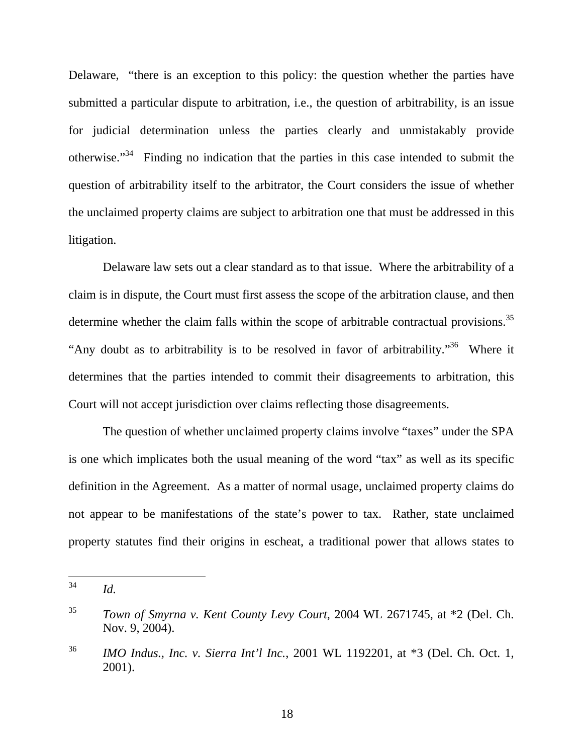Delaware, "there is an exception to this policy: the question whether the parties have submitted a particular dispute to arbitration, i.e., the question of arbitrability, is an issue for judicial determination unless the parties clearly and unmistakably provide otherwise."34 Finding no indication that the parties in this case intended to submit the question of arbitrability itself to the arbitrator, the Court considers the issue of whether the unclaimed property claims are subject to arbitration one that must be addressed in this litigation.

 Delaware law sets out a clear standard as to that issue. Where the arbitrability of a claim is in dispute, the Court must first assess the scope of the arbitration clause, and then determine whether the claim falls within the scope of arbitrable contractual provisions.<sup>35</sup> "Any doubt as to arbitrability is to be resolved in favor of arbitrability."36 Where it determines that the parties intended to commit their disagreements to arbitration, this Court will not accept jurisdiction over claims reflecting those disagreements.

The question of whether unclaimed property claims involve "taxes" under the SPA is one which implicates both the usual meaning of the word "tax" as well as its specific definition in the Agreement. As a matter of normal usage, unclaimed property claims do not appear to be manifestations of the state's power to tax. Rather, state unclaimed property statutes find their origins in escheat, a traditional power that allows states to

<sup>34</sup> *Id.* 

<sup>35</sup> *Town of Smyrna v. Kent County Levy Court*, 2004 WL 2671745, at \*2 (Del. Ch. Nov. 9, 2004).

<sup>36</sup> *IMO Indus., Inc. v. Sierra Int'l Inc.*, 2001 WL 1192201, at \*3 (Del. Ch. Oct. 1, 2001).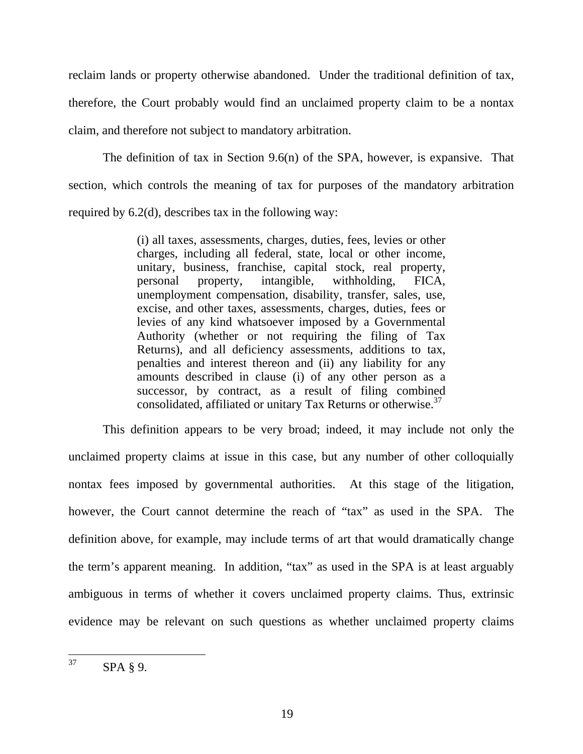reclaim lands or property otherwise abandoned. Under the traditional definition of tax, therefore, the Court probably would find an unclaimed property claim to be a nontax claim, and therefore not subject to mandatory arbitration.

 The definition of tax in Section 9.6(n) of the SPA, however, is expansive. That section, which controls the meaning of tax for purposes of the mandatory arbitration required by 6.2(d), describes tax in the following way:

> (i) all taxes, assessments, charges, duties, fees, levies or other charges, including all federal, state, local or other income, unitary, business, franchise, capital stock, real property, personal property, intangible, withholding, FICA, unemployment compensation, disability, transfer, sales, use, excise, and other taxes, assessments, charges, duties, fees or levies of any kind whatsoever imposed by a Governmental Authority (whether or not requiring the filing of Tax Returns), and all deficiency assessments, additions to tax, penalties and interest thereon and (ii) any liability for any amounts described in clause (i) of any other person as a successor, by contract, as a result of filing combined consolidated, affiliated or unitary Tax Returns or otherwise.37

This definition appears to be very broad; indeed, it may include not only the unclaimed property claims at issue in this case, but any number of other colloquially nontax fees imposed by governmental authorities. At this stage of the litigation, however, the Court cannot determine the reach of "tax" as used in the SPA. The definition above, for example, may include terms of art that would dramatically change the term's apparent meaning. In addition, "tax" as used in the SPA is at least arguably ambiguous in terms of whether it covers unclaimed property claims. Thus, extrinsic evidence may be relevant on such questions as whether unclaimed property claims

<sup>37</sup> SPA § 9.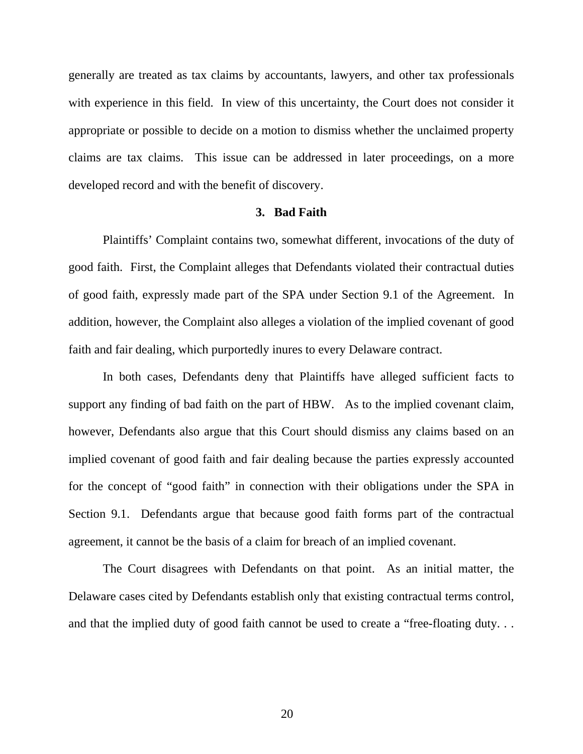generally are treated as tax claims by accountants, lawyers, and other tax professionals with experience in this field. In view of this uncertainty, the Court does not consider it appropriate or possible to decide on a motion to dismiss whether the unclaimed property claims are tax claims. This issue can be addressed in later proceedings, on a more developed record and with the benefit of discovery.

#### **3. Bad Faith**

 Plaintiffs' Complaint contains two, somewhat different, invocations of the duty of good faith. First, the Complaint alleges that Defendants violated their contractual duties of good faith, expressly made part of the SPA under Section 9.1 of the Agreement. In addition, however, the Complaint also alleges a violation of the implied covenant of good faith and fair dealing, which purportedly inures to every Delaware contract.

 In both cases, Defendants deny that Plaintiffs have alleged sufficient facts to support any finding of bad faith on the part of HBW. As to the implied covenant claim, however, Defendants also argue that this Court should dismiss any claims based on an implied covenant of good faith and fair dealing because the parties expressly accounted for the concept of "good faith" in connection with their obligations under the SPA in Section 9.1. Defendants argue that because good faith forms part of the contractual agreement, it cannot be the basis of a claim for breach of an implied covenant.

The Court disagrees with Defendants on that point. As an initial matter, the Delaware cases cited by Defendants establish only that existing contractual terms control, and that the implied duty of good faith cannot be used to create a "free-floating duty. . .

20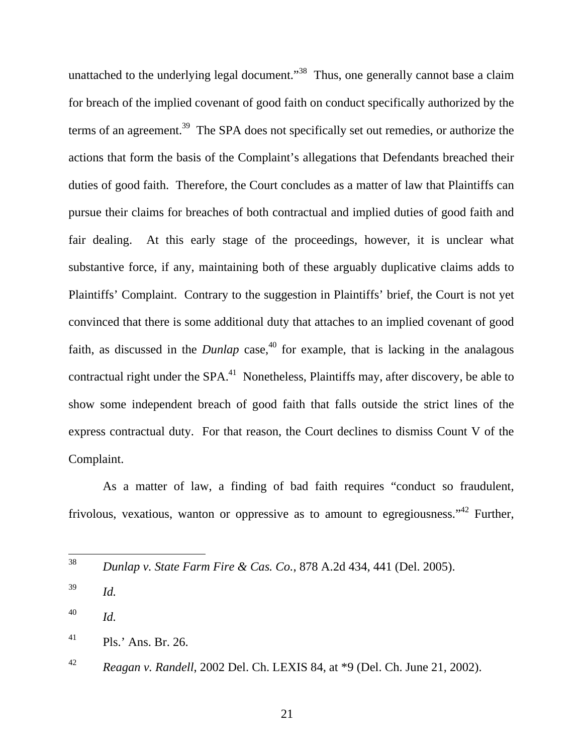unattached to the underlying legal document."<sup>38</sup> Thus, one generally cannot base a claim for breach of the implied covenant of good faith on conduct specifically authorized by the terms of an agreement.<sup>39</sup> The SPA does not specifically set out remedies, or authorize the actions that form the basis of the Complaint's allegations that Defendants breached their duties of good faith. Therefore, the Court concludes as a matter of law that Plaintiffs can pursue their claims for breaches of both contractual and implied duties of good faith and fair dealing. At this early stage of the proceedings, however, it is unclear what substantive force, if any, maintaining both of these arguably duplicative claims adds to Plaintiffs' Complaint. Contrary to the suggestion in Plaintiffs' brief, the Court is not yet convinced that there is some additional duty that attaches to an implied covenant of good faith, as discussed in the *Dunlap* case,  $40$  for example, that is lacking in the analagous contractual right under the  $SPA<sup>41</sup>$  Nonetheless, Plaintiffs may, after discovery, be able to show some independent breach of good faith that falls outside the strict lines of the express contractual duty. For that reason, the Court declines to dismiss Count V of the Complaint.

 As a matter of law, a finding of bad faith requires "conduct so fraudulent, frivolous, vexatious, wanton or oppressive as to amount to egregiousness."<sup>42</sup> Further,

<sup>38</sup> <sup>38</sup> *Dunlap v. State Farm Fire & Cas. Co.*, 878 A.2d 434, 441 (Del. 2005).

<sup>39</sup> *Id.*

<sup>40</sup> *Id.* 

 $^{41}$  Pls.' Ans. Br. 26.

<sup>42</sup> *Reagan v. Randell*, 2002 Del. Ch. LEXIS 84, at \*9 (Del. Ch. June 21, 2002).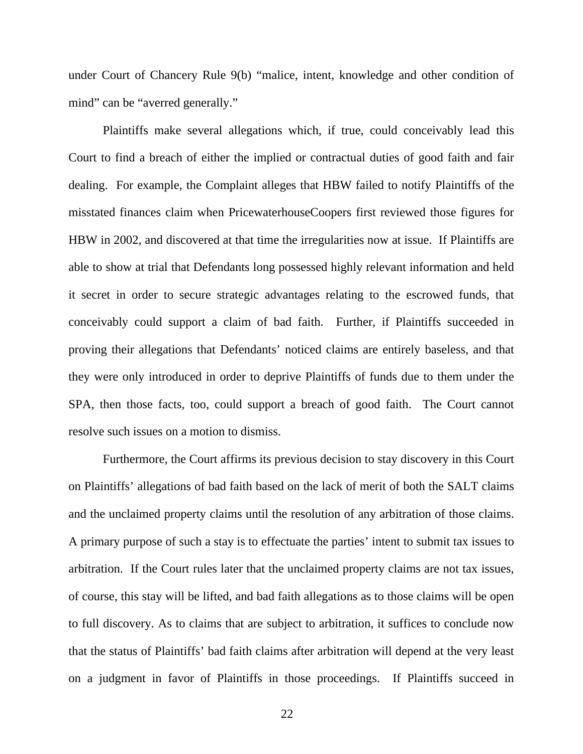under Court of Chancery Rule 9(b) "malice, intent, knowledge and other condition of mind" can be "averred generally."

Plaintiffs make several allegations which, if true, could conceivably lead this Court to find a breach of either the implied or contractual duties of good faith and fair dealing. For example, the Complaint alleges that HBW failed to notify Plaintiffs of the misstated finances claim when PricewaterhouseCoopers first reviewed those figures for HBW in 2002, and discovered at that time the irregularities now at issue. If Plaintiffs are able to show at trial that Defendants long possessed highly relevant information and held it secret in order to secure strategic advantages relating to the escrowed funds, that conceivably could support a claim of bad faith. Further, if Plaintiffs succeeded in proving their allegations that Defendants' noticed claims are entirely baseless, and that they were only introduced in order to deprive Plaintiffs of funds due to them under the SPA, then those facts, too, could support a breach of good faith. The Court cannot resolve such issues on a motion to dismiss.

Furthermore, the Court affirms its previous decision to stay discovery in this Court on Plaintiffs' allegations of bad faith based on the lack of merit of both the SALT claims and the unclaimed property claims until the resolution of any arbitration of those claims. A primary purpose of such a stay is to effectuate the parties' intent to submit tax issues to arbitration. If the Court rules later that the unclaimed property claims are not tax issues, of course, this stay will be lifted, and bad faith allegations as to those claims will be open to full discovery. As to claims that are subject to arbitration, it suffices to conclude now that the status of Plaintiffs' bad faith claims after arbitration will depend at the very least on a judgment in favor of Plaintiffs in those proceedings. If Plaintiffs succeed in